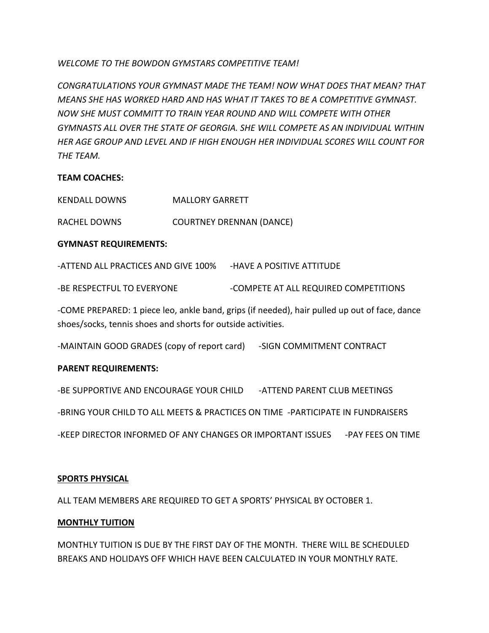*WELCOME TO THE BOWDON GYMSTARS COMPETITIVE TEAM!*

*CONGRATULATIONS YOUR GYMNAST MADE THE TEAM! NOW WHAT DOES THAT MEAN? THAT MEANS SHE HAS WORKED HARD AND HAS WHAT IT TAKES TO BE A COMPETITIVE GYMNAST. NOW SHE MUST COMMITT TO TRAIN YEAR ROUND AND WILL COMPETE WITH OTHER GYMNASTS ALL OVER THE STATE OF GEORGIA. SHE WILL COMPETE AS AN INDIVIDUAL WITHIN HER AGE GROUP AND LEVEL AND IF HIGH ENOUGH HER INDIVIDUAL SCORES WILL COUNT FOR THE TEAM.* 

#### **TEAM COACHES:**

| <b>KENDALL DOWNS</b> | <b>MALLORY GARRETT</b> |
|----------------------|------------------------|
|----------------------|------------------------|

RACHEL DOWNS COURTNEY DRENNAN (DANCE)

#### **GYMNAST REQUIREMENTS:**

-ATTEND ALL PRACTICES AND GIVE 100% -HAVE A POSITIVE ATTITUDE -BE RESPECTFUL TO EVERYONE - COMPETE AT ALL REQUIRED COMPETITIONS

-COME PREPARED: 1 piece leo, ankle band, grips (if needed), hair pulled up out of face, dance shoes/socks, tennis shoes and shorts for outside activities.

-MAINTAIN GOOD GRADES (copy of report card) -SIGN COMMITMENT CONTRACT

#### **PARENT REQUIREMENTS:**

-BE SUPPORTIVE AND ENCOURAGE YOUR CHILD - ATTEND PARENT CLUB MEETINGS -BRING YOUR CHILD TO ALL MEETS & PRACTICES ON TIME -PARTICIPATE IN FUNDRAISERS

-KEEP DIRECTOR INFORMED OF ANY CHANGES OR IMPORTANT ISSUES - PAY FEES ON TIME

#### **SPORTS PHYSICAL**

ALL TEAM MEMBERS ARE REQUIRED TO GET A SPORTS' PHYSICAL BY OCTOBER 1.

#### **MONTHLY TUITION**

MONTHLY TUITION IS DUE BY THE FIRST DAY OF THE MONTH. THERE WILL BE SCHEDULED BREAKS AND HOLIDAYS OFF WHICH HAVE BEEN CALCULATED IN YOUR MONTHLY RATE.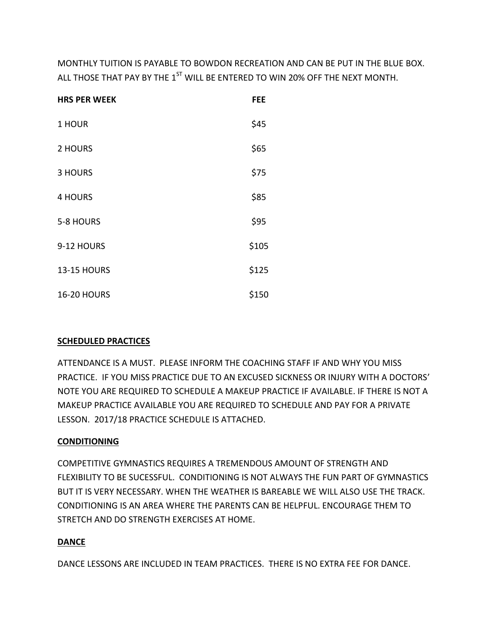MONTHLY TUITION IS PAYABLE TO BOWDON RECREATION AND CAN BE PUT IN THE BLUE BOX. ALL THOSE THAT PAY BY THE 1<sup>ST</sup> WILL BE ENTERED TO WIN 20% OFF THE NEXT MONTH.

| <b>HRS PER WEEK</b> | <b>FEE</b> |
|---------------------|------------|
| 1 HOUR              | \$45       |
| 2 HOURS             | \$65       |
| 3 HOURS             | \$75       |
| <b>4 HOURS</b>      | \$85       |
| 5-8 HOURS           | \$95       |
| 9-12 HOURS          | \$105      |
| <b>13-15 HOURS</b>  | \$125      |
| <b>16-20 HOURS</b>  | \$150      |

#### **SCHEDULED PRACTICES**

ATTENDANCE IS A MUST. PLEASE INFORM THE COACHING STAFF IF AND WHY YOU MISS PRACTICE. IF YOU MISS PRACTICE DUE TO AN EXCUSED SICKNESS OR INJURY WITH A DOCTORS' NOTE YOU ARE REQUIRED TO SCHEDULE A MAKEUP PRACTICE IF AVAILABLE. IF THERE IS NOT A MAKEUP PRACTICE AVAILABLE YOU ARE REQUIRED TO SCHEDULE AND PAY FOR A PRIVATE LESSON. 2017/18 PRACTICE SCHEDULE IS ATTACHED.

#### **CONDITIONING**

COMPETITIVE GYMNASTICS REQUIRES A TREMENDOUS AMOUNT OF STRENGTH AND FLEXIBILITY TO BE SUCESSFUL. CONDITIONING IS NOT ALWAYS THE FUN PART OF GYMNASTICS BUT IT IS VERY NECESSARY. WHEN THE WEATHER IS BAREABLE WE WILL ALSO USE THE TRACK. CONDITIONING IS AN AREA WHERE THE PARENTS CAN BE HELPFUL. ENCOURAGE THEM TO STRETCH AND DO STRENGTH EXERCISES AT HOME.

#### **DANCE**

DANCE LESSONS ARE INCLUDED IN TEAM PRACTICES. THERE IS NO EXTRA FEE FOR DANCE.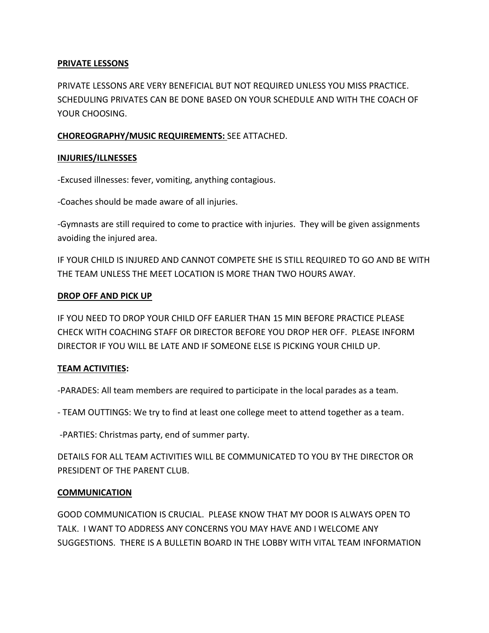#### **PRIVATE LESSONS**

PRIVATE LESSONS ARE VERY BENEFICIAL BUT NOT REQUIRED UNLESS YOU MISS PRACTICE. SCHEDULING PRIVATES CAN BE DONE BASED ON YOUR SCHEDULE AND WITH THE COACH OF YOUR CHOOSING.

#### **CHOREOGRAPHY/MUSIC REQUIREMENTS:** SEE ATTACHED.

#### **INJURIES/ILLNESSES**

-Excused illnesses: fever, vomiting, anything contagious.

-Coaches should be made aware of all injuries.

-Gymnasts are still required to come to practice with injuries. They will be given assignments avoiding the injured area.

IF YOUR CHILD IS INJURED AND CANNOT COMPETE SHE IS STILL REQUIRED TO GO AND BE WITH THE TEAM UNLESS THE MEET LOCATION IS MORE THAN TWO HOURS AWAY.

#### **DROP OFF AND PICK UP**

IF YOU NEED TO DROP YOUR CHILD OFF EARLIER THAN 15 MIN BEFORE PRACTICE PLEASE CHECK WITH COACHING STAFF OR DIRECTOR BEFORE YOU DROP HER OFF. PLEASE INFORM DIRECTOR IF YOU WILL BE LATE AND IF SOMEONE ELSE IS PICKING YOUR CHILD UP.

#### **TEAM ACTIVITIES:**

-PARADES: All team members are required to participate in the local parades as a team.

- TEAM OUTTINGS: We try to find at least one college meet to attend together as a team.

-PARTIES: Christmas party, end of summer party.

DETAILS FOR ALL TEAM ACTIVITIES WILL BE COMMUNICATED TO YOU BY THE DIRECTOR OR PRESIDENT OF THE PARENT CLUB.

#### **COMMUNICATION**

GOOD COMMUNICATION IS CRUCIAL. PLEASE KNOW THAT MY DOOR IS ALWAYS OPEN TO TALK. I WANT TO ADDRESS ANY CONCERNS YOU MAY HAVE AND I WELCOME ANY SUGGESTIONS. THERE IS A BULLETIN BOARD IN THE LOBBY WITH VITAL TEAM INFORMATION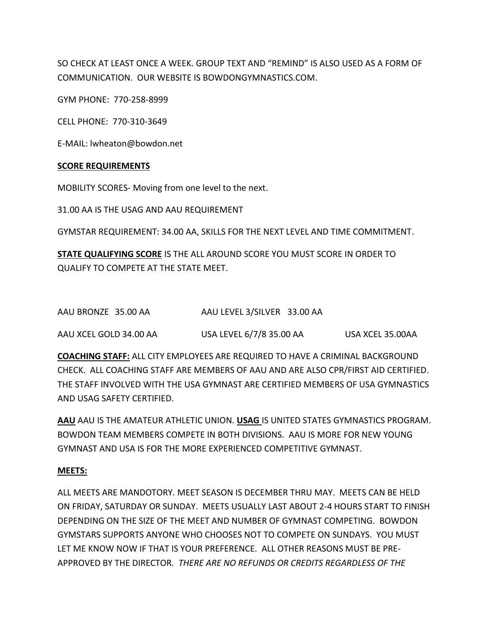SO CHECK AT LEAST ONCE A WEEK. GROUP TEXT AND "REMIND" IS ALSO USED AS A FORM OF COMMUNICATION. OUR WEBSITE IS BOWDONGYMNASTICS.COM.

GYM PHONE: 770-258-8999

CELL PHONE: 770-310-3649

E-MAIL: lwheaton@bowdon.net

#### **SCORE REQUIREMENTS**

MOBILITY SCORES- Moving from one level to the next.

31.00 AA IS THE USAG AND AAU REQUIREMENT

GYMSTAR REQUIREMENT: 34.00 AA, SKILLS FOR THE NEXT LEVEL AND TIME COMMITMENT.

**STATE QUALIFYING SCORE** IS THE ALL AROUND SCORE YOU MUST SCORE IN ORDER TO QUALIFY TO COMPETE AT THE STATE MEET.

| AAU BRONZE 35.00 AA | AAU LEVEL 3/SILVER 33.00 AA |  |
|---------------------|-----------------------------|--|
|                     |                             |  |

AAU XCEL GOLD 34.00 AA USA LEVEL 6/7/8 35.00 AA USA XCEL 35.00AA

**COACHING STAFF:** ALL CITY EMPLOYEES ARE REQUIRED TO HAVE A CRIMINAL BACKGROUND CHECK. ALL COACHING STAFF ARE MEMBERS OF AAU AND ARE ALSO CPR/FIRST AID CERTIFIED. THE STAFF INVOLVED WITH THE USA GYMNAST ARE CERTIFIED MEMBERS OF USA GYMNASTICS AND USAG SAFETY CERTIFIED.

**AAU** AAU IS THE AMATEUR ATHLETIC UNION. **USAG** IS UNITED STATES GYMNASTICS PROGRAM. BOWDON TEAM MEMBERS COMPETE IN BOTH DIVISIONS. AAU IS MORE FOR NEW YOUNG GYMNAST AND USA IS FOR THE MORE EXPERIENCED COMPETITIVE GYMNAST.

#### **MEETS:**

ALL MEETS ARE MANDOTORY. MEET SEASON IS DECEMBER THRU MAY. MEETS CAN BE HELD ON FRIDAY, SATURDAY OR SUNDAY. MEETS USUALLY LAST ABOUT 2-4 HOURS START TO FINISH DEPENDING ON THE SIZE OF THE MEET AND NUMBER OF GYMNAST COMPETING. BOWDON GYMSTARS SUPPORTS ANYONE WHO CHOOSES NOT TO COMPETE ON SUNDAYS. YOU MUST LET ME KNOW NOW IF THAT IS YOUR PREFERENCE. ALL OTHER REASONS MUST BE PRE-APPROVED BY THE DIRECTOR*. THERE ARE NO REFUNDS OR CREDITS REGARDLESS OF THE*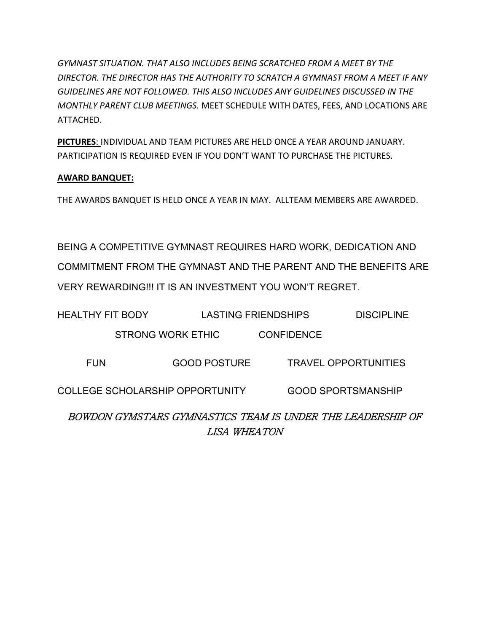*GYMNAST SITUATION. THAT ALSO INCLUDES BEING SCRATCHED FROM A MEET BY THE DIRECTOR. THE DIRECTOR HAS THE AUTHORITY TO SCRATCH A GYMNAST FROM A MEET IF ANY GUIDELINES ARE NOT FOLLOWED. THIS ALSO INCLUDES ANY GUIDELINES DISCUSSED IN THE MONTHLY PARENT CLUB MEETINGS.* MEET SCHEDULE WITH DATES, FEES, AND LOCATIONS ARE ATTACHED.

**PICTURES**: INDIVIDUAL AND TEAM PICTURES ARE HELD ONCE A YEAR AROUND JANUARY. PARTICIPATION IS REQUIRED EVEN IF YOU DON'T WANT TO PURCHASE THE PICTURES.

#### **AWARD BANQUET:**

THE AWARDS BANQUET IS HELD ONCE A YEAR IN MAY. ALLTEAM MEMBERS ARE AWARDED.

BEING A COMPETITIVE GYMNAST REQUIRES HARD WORK, DEDICATION AND COMMITMENT FROM THE GYMNAST AND THE PARENT AND THE BENEFITS ARE VERY REWARDING!!! IT IS AN INVESTMENT YOU WON'T REGRET.

| <b>HEALTHY FIT BODY</b> |                                        | <b>LASTING FRIENDSHIPS</b> |                   | <b>DISCIPLINE</b>                                          |
|-------------------------|----------------------------------------|----------------------------|-------------------|------------------------------------------------------------|
|                         | <b>STRONG WORK ETHIC</b>               |                            | <b>CONFIDENCE</b> |                                                            |
| <b>FUN</b>              |                                        | <b>GOOD POSTURE</b>        |                   | <b>TRAVEL OPPORTUNITIES</b>                                |
|                         | <b>COLLEGE SCHOLARSHIP OPPORTUNITY</b> |                            |                   | <b>GOOD SPORTSMANSHIP</b>                                  |
|                         |                                        | LISA WHEATON               |                   | BOWDON GYMSTARS GYMNASTICS TEAM IS UNDER THE LEADERSHIP OF |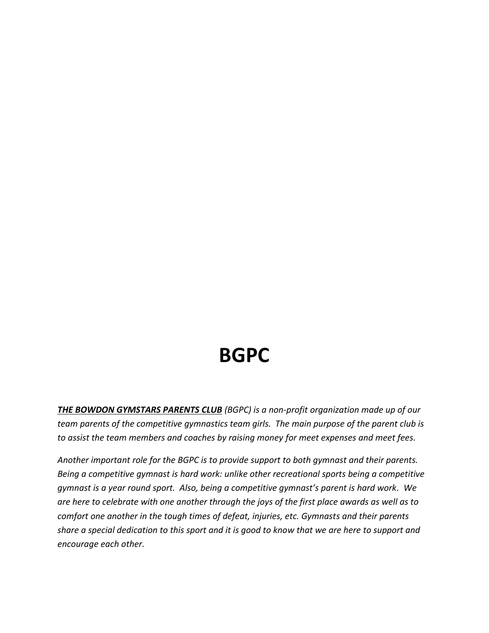### **BGPC**

*THE BOWDON GYMSTARS PARENTS CLUB (BGPC) is a non-profit organization made up of our team parents of the competitive gymnastics team girls. The main purpose of the parent club is to assist the team members and coaches by raising money for meet expenses and meet fees.* 

*Another important role for the BGPC is to provide support to both gymnast and their parents. Being a competitive gymnast is hard work: unlike other recreational sports being a competitive gymnast is a year round sport. Also, being a competitive gymnast's parent is hard work. We are here to celebrate with one another through the joys of the first place awards as well as to comfort one another in the tough times of defeat, injuries, etc. Gymnasts and their parents share a special dedication to this sport and it is good to know that we are here to support and encourage each other.*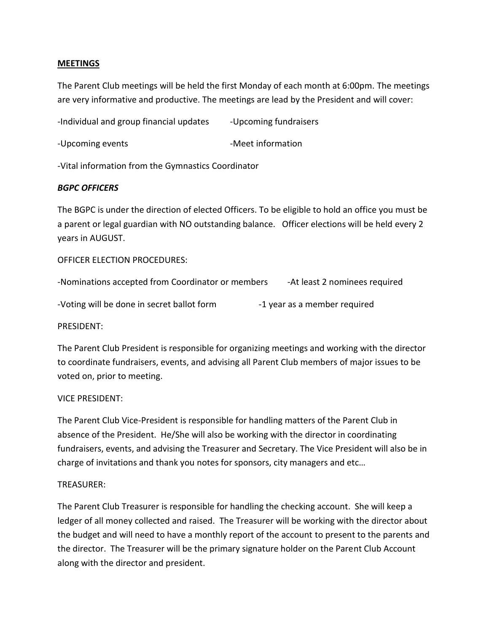#### **MEETINGS**

The Parent Club meetings will be held the first Monday of each month at 6:00pm. The meetings are very informative and productive. The meetings are lead by the President and will cover:

-Individual and group financial updates - Upcoming fundraisers

-Upcoming events **-Meet** information

-Vital information from the Gymnastics Coordinator

#### *BGPC OFFICERS*

The BGPC is under the direction of elected Officers. To be eligible to hold an office you must be a parent or legal guardian with NO outstanding balance. Officer elections will be held every 2 years in AUGUST.

OFFICER ELECTION PROCEDURES:

| -Nominations accepted from Coordinator or members | -At least 2 nominees required |
|---------------------------------------------------|-------------------------------|
|---------------------------------------------------|-------------------------------|

-Voting will be done in secret ballot form -1 year as a member required

PRESIDENT:

The Parent Club President is responsible for organizing meetings and working with the director to coordinate fundraisers, events, and advising all Parent Club members of major issues to be voted on, prior to meeting.

#### VICE PRESIDENT:

The Parent Club Vice-President is responsible for handling matters of the Parent Club in absence of the President. He/She will also be working with the director in coordinating fundraisers, events, and advising the Treasurer and Secretary. The Vice President will also be in charge of invitations and thank you notes for sponsors, city managers and etc…

#### TREASURER:

The Parent Club Treasurer is responsible for handling the checking account. She will keep a ledger of all money collected and raised. The Treasurer will be working with the director about the budget and will need to have a monthly report of the account to present to the parents and the director. The Treasurer will be the primary signature holder on the Parent Club Account along with the director and president.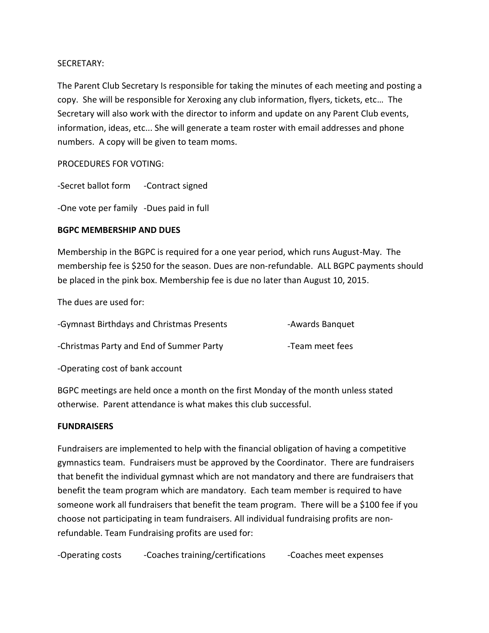#### SECRETARY:

The Parent Club Secretary Is responsible for taking the minutes of each meeting and posting a copy. She will be responsible for Xeroxing any club information, flyers, tickets, etc… The Secretary will also work with the director to inform and update on any Parent Club events, information, ideas, etc... She will generate a team roster with email addresses and phone numbers. A copy will be given to team moms.

PROCEDURES FOR VOTING:

-Secret ballot form -Contract signed

-One vote per family -Dues paid in full

#### **BGPC MEMBERSHIP AND DUES**

Membership in the BGPC is required for a one year period, which runs August-May. The membership fee is \$250 for the season. Dues are non-refundable. ALL BGPC payments should be placed in the pink box. Membership fee is due no later than August 10, 2015.

The dues are used for:

| -Gymnast Birthdays and Christmas Presents | -Awards Banquet |
|-------------------------------------------|-----------------|
| -Christmas Party and End of Summer Party  | -Team meet fees |

-Operating cost of bank account

BGPC meetings are held once a month on the first Monday of the month unless stated otherwise. Parent attendance is what makes this club successful.

#### **FUNDRAISERS**

Fundraisers are implemented to help with the financial obligation of having a competitive gymnastics team. Fundraisers must be approved by the Coordinator. There are fundraisers that benefit the individual gymnast which are not mandatory and there are fundraisers that benefit the team program which are mandatory. Each team member is required to have someone work all fundraisers that benefit the team program. There will be a \$100 fee if you choose not participating in team fundraisers. All individual fundraising profits are nonrefundable. Team Fundraising profits are used for:

-Operating costs -Coaches training/certifications -Coaches meet expenses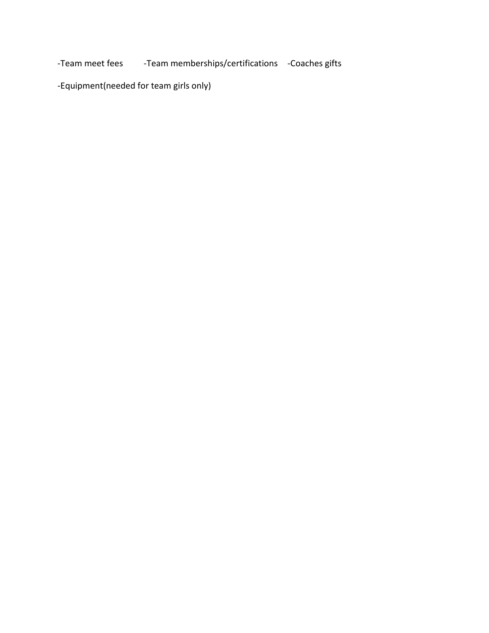-Team meet fees -Team memberships/certifications -Coaches gifts

-Equipment(needed for team girls only)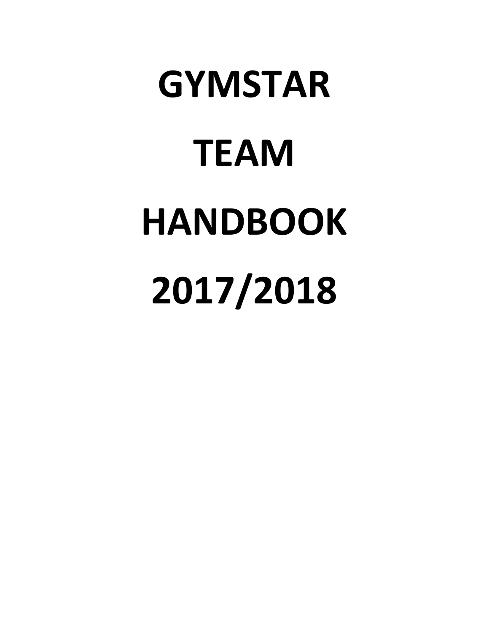## **GYMSTAR TEAM HANDBOOK 2017/2018**